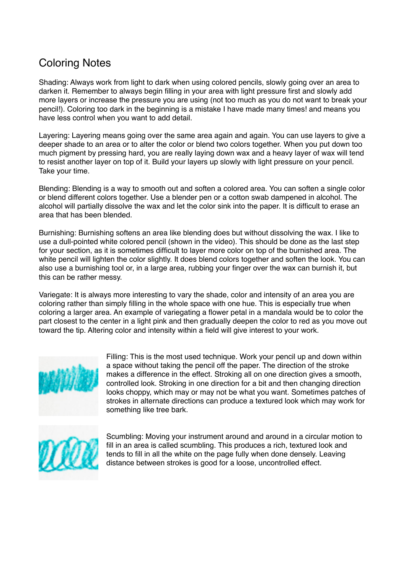## Coloring Notes

Shading: Always work from light to dark when using colored pencils, slowly going over an area to darken it. Remember to always begin filling in your area with light pressure first and slowly add more layers or increase the pressure you are using (not too much as you do not want to break your pencil!). Coloring too dark in the beginning is a mistake I have made many times! and means you have less control when you want to add detail.

Layering: Layering means going over the same area again and again. You can use layers to give a deeper shade to an area or to alter the color or blend two colors together. When you put down too much pigment by pressing hard, you are really laying down wax and a heavy layer of wax will tend to resist another layer on top of it. Build your layers up slowly with light pressure on your pencil. Take your time.

Blending: Blending is a way to smooth out and soften a colored area. You can soften a single color or blend different colors together. Use a blender pen or a cotton swab dampened in alcohol. The alcohol will partially dissolve the wax and let the color sink into the paper. It is difficult to erase an area that has been blended.

Burnishing: Burnishing softens an area like blending does but without dissolving the wax. I like to use a dull-pointed white colored pencil (shown in the video). This should be done as the last step for your section, as it is sometimes difficult to layer more color on top of the burnished area. The white pencil will lighten the color slightly. It does blend colors together and soften the look. You can also use a burnishing tool or, in a large area, rubbing your finger over the wax can burnish it, but this can be rather messy.

Variegate: It is always more interesting to vary the shade, color and intensity of an area you are coloring rather than simply filling in the whole space with one hue. This is especially true when coloring a larger area. An example of variegating a flower petal in a mandala would be to color the part closest to the center in a light pink and then gradually deepen the color to red as you move out toward the tip. Altering color and intensity within a field will give interest to your work.



Filling: This is the most used technique. Work your pencil up and down within a space without taking the pencil off the paper. The direction of the stroke makes a difference in the effect. Stroking all on one direction gives a smooth, controlled look. Stroking in one direction for a bit and then changing direction looks choppy, which may or may not be what you want. Sometimes patches of strokes in alternate directions can produce a textured look which may work for something like tree bark.



Scumbling: Moving your instrument around and around in a circular motion to fill in an area is called scumbling. This produces a rich, textured look and tends to fill in all the white on the page fully when done densely. Leaving distance between strokes is good for a loose, uncontrolled effect.